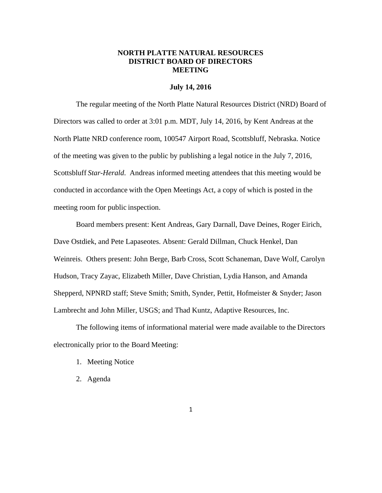# **NORTH PLATTE NATURAL RESOURCES DISTRICT BOARD OF DIRECTORS MEETING**

#### **July 14, 2016**

The regular meeting of the North Platte Natural Resources District (NRD) Board of Directors was called to order at 3:01 p.m. MDT, July 14, 2016, by Kent Andreas at the North Platte NRD conference room, 100547 Airport Road, Scottsbluff, Nebraska. Notice of the meeting was given to the public by publishing a legal notice in the July 7, 2016, Scottsbluff *Star-Herald*. Andreas informed meeting attendees that this meeting would be conducted in accordance with the Open Meetings Act, a copy of which is posted in the meeting room for public inspection.

Board members present: Kent Andreas, Gary Darnall, Dave Deines, Roger Eirich, Dave Ostdiek, and Pete Lapaseotes. Absent: Gerald Dillman, Chuck Henkel, Dan Weinreis. Others present: John Berge, Barb Cross, Scott Schaneman, Dave Wolf, Carolyn Hudson, Tracy Zayac, Elizabeth Miller, Dave Christian, Lydia Hanson, and Amanda Shepperd, NPNRD staff; Steve Smith; Smith, Synder, Pettit, Hofmeister & Snyder; Jason Lambrecht and John Miller, USGS; and Thad Kuntz, Adaptive Resources, Inc.

The following items of informational material were made available to the Directors electronically prior to the Board Meeting:

- 1. Meeting Notice
- 2. Agenda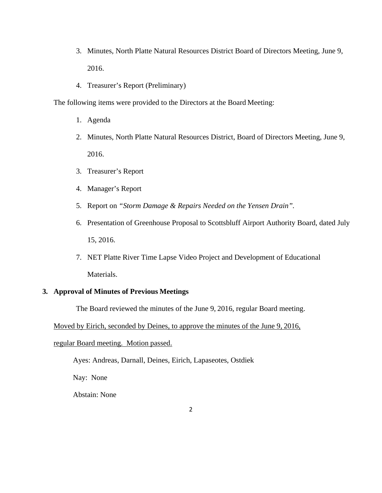- 3. Minutes, North Platte Natural Resources District Board of Directors Meeting, June 9, 2016.
- 4. Treasurer's Report (Preliminary)

The following items were provided to the Directors at the Board Meeting:

- 1. Agenda
- 2. Minutes, North Platte Natural Resources District, Board of Directors Meeting, June 9, 2016.
- 3. Treasurer's Report
- 4. Manager's Report
- 5. Report on *"Storm Damage & Repairs Needed on the Yensen Drain".*
- 6. Presentation of Greenhouse Proposal to Scottsbluff Airport Authority Board, dated July 15, 2016.
- 7. NET Platte River Time Lapse Video Project and Development of Educational Materials.

# **3. Approval of Minutes of Previous Meetings**

The Board reviewed the minutes of the June 9, 2016, regular Board meeting.

Moved by Eirich, seconded by Deines, to approve the minutes of the June 9, 2016,

#### regular Board meeting. Motion passed.

Ayes: Andreas, Darnall, Deines, Eirich, Lapaseotes, Ostdiek

Nay: None

Abstain: None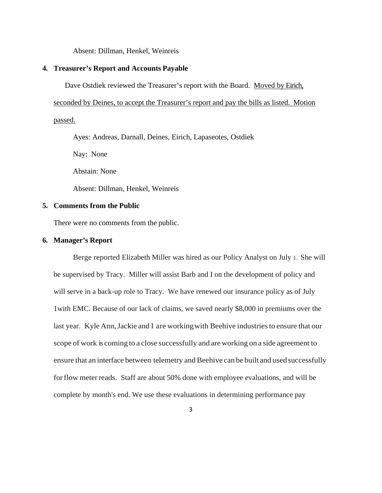Absent: Dillman, Henkel, Weinreis

### **4. Treasurer's Report and Accounts Payable**

Dave Ostdiek reviewed the Treasurer's report with the Board. Moved by Eirich,

seconded by Deines, to accept the Treasurer's report and pay the bills as listed. Motion

passed.

Ayes: Andreas, Darnall, Deines, Eirich, Lapaseotes, Ostdiek

Nay: None

Abstain: None

Absent: Dillman, Henkel, Weinreis

# **5. Comments from the Public**

There were no comments from the public.

# **6. Manager's Report**

Berge reported Elizabeth Miller was hired as our Policy Analyst on July 1. She will be supervised by Tracy. Miller will assist Barb and I on the development of policy and will serve in a back-up role to Tracy. We have renewed our insurance policy as of July 1with EMC. Because of our lack of claims, we saved nearly \$8,000 in premiums over the last year. Kyle Ann, Jackie and I are working with Beehive industries to ensure that our scope of work is coming to a close successfully and are working on a side agreement to ensure that an interface between telemetry and Beehive can be built and used successfully for flow meter reads. Staff are about 50% done with employee evaluations, and will be complete by month's end. We use these evaluations in determining performance pay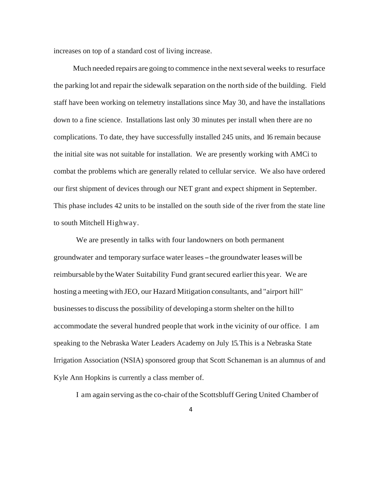increases on top of a standard cost of living increase.

Much needed repairs are going to commence in the next several weeks to resurface the parking lot and repair the sidewalk separation on the north side of the building. Field staff have been working on telemetry installations since May 30, and have the installations down to a fine science. Installations last only 30 minutes per install when there are no complications. To date, they have successfully installed 245 units, and 16 remain because the initial site was not suitable for installation. We are presently working with AMCi to combat the problems which are generally related to cellular service. We also have ordered our first shipment of devices through our NET grant and expect shipment in September. This phase includes 42 units to be installed on the south side of the river from the state line to south Mitchell Highway.

 We are presently in talks with four landowners on both permanent groundwater and temporary surface water leases - the groundwater leases will be reimbursable by the Water Suitability Fund grant secured earlier this year. We are hosting a meeting with JEO, our Hazard Mitigation consultants, and "airport hill" businesses to discuss the possibility of developing a storm shelter on the hill to accommodate the several hundred people that work in the vicinity of our office. I am speaking to the Nebraska Water Leaders Academy on July 15. This is a Nebraska State Irrigation Association (NSIA) sponsored group that Scott Schaneman is an alumnus of and Kyle Ann Hopkins is currently a class member of.

I am again serving as the co-chair of the Scottsbluff Gering United Chamber of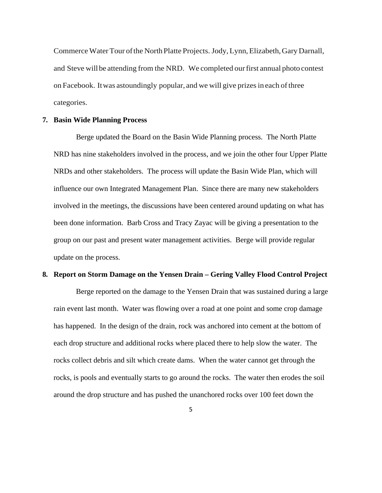Commerce Water Tour of the North Platte Projects. Jody, Lynn, Elizabeth, Gary Darnall, and Steve will be attending from the NRD. We completed our first annual photo contest on Facebook. It was astoundingly popular, and we will give prizes in each of three categories.

#### **7. Basin Wide Planning Process**

Berge updated the Board on the Basin Wide Planning process. The North Platte NRD has nine stakeholders involved in the process, and we join the other four Upper Platte NRDs and other stakeholders. The process will update the Basin Wide Plan, which will influence our own Integrated Management Plan. Since there are many new stakeholders involved in the meetings, the discussions have been centered around updating on what has been done information. Barb Cross and Tracy Zayac will be giving a presentation to the group on our past and present water management activities. Berge will provide regular update on the process.

#### **8. Report on Storm Damage on the Yensen Drain – Gering Valley Flood Control Project**

Berge reported on the damage to the Yensen Drain that was sustained during a large rain event last month. Water was flowing over a road at one point and some crop damage has happened. In the design of the drain, rock was anchored into cement at the bottom of each drop structure and additional rocks where placed there to help slow the water. The rocks collect debris and silt which create dams. When the water cannot get through the rocks, is pools and eventually starts to go around the rocks. The water then erodes the soil around the drop structure and has pushed the unanchored rocks over 100 feet down the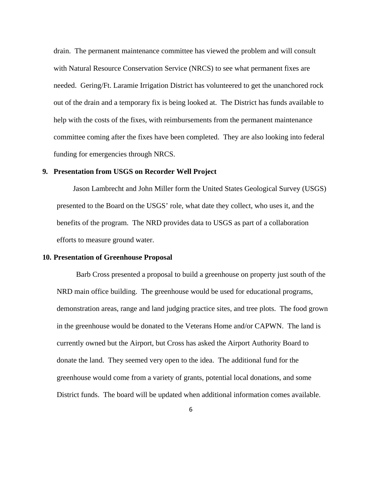drain. The permanent maintenance committee has viewed the problem and will consult with Natural Resource Conservation Service (NRCS) to see what permanent fixes are needed. Gering/Ft. Laramie Irrigation District has volunteered to get the unanchored rock out of the drain and a temporary fix is being looked at. The District has funds available to help with the costs of the fixes, with reimbursements from the permanent maintenance committee coming after the fixes have been completed. They are also looking into federal funding for emergencies through NRCS.

#### **9. Presentation from USGS on Recorder Well Project**

Jason Lambrecht and John Miller form the United States Geological Survey (USGS) presented to the Board on the USGS' role, what date they collect, who uses it, and the benefits of the program. The NRD provides data to USGS as part of a collaboration efforts to measure ground water.

#### **10. Presentation of Greenhouse Proposal**

Barb Cross presented a proposal to build a greenhouse on property just south of the NRD main office building. The greenhouse would be used for educational programs, demonstration areas, range and land judging practice sites, and tree plots. The food grown in the greenhouse would be donated to the Veterans Home and/or CAPWN. The land is currently owned but the Airport, but Cross has asked the Airport Authority Board to donate the land. They seemed very open to the idea. The additional fund for the greenhouse would come from a variety of grants, potential local donations, and some District funds. The board will be updated when additional information comes available.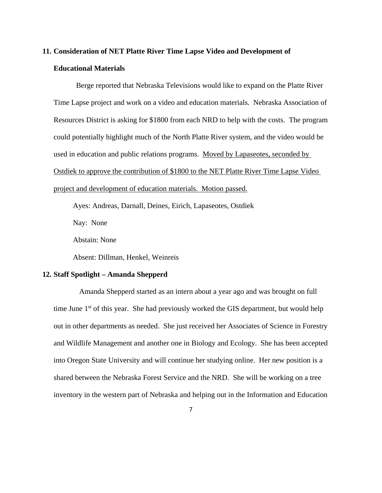# **11. Consideration of NET Platte River Time Lapse Video and Development of Educational Materials**

 Berge reported that Nebraska Televisions would like to expand on the Platte River Time Lapse project and work on a video and education materials. Nebraska Association of Resources District is asking for \$1800 from each NRD to help with the costs. The program could potentially highlight much of the North Platte River system, and the video would be used in education and public relations programs. Moved by Lapaseotes, seconded by Ostdiek to approve the contribution of \$1800 to the NET Platte River Time Lapse Video project and development of education materials. Motion passed.

Ayes: Andreas, Darnall, Deines, Eirich, Lapaseotes, Ostdiek

Nay: None

Abstain: None

Absent: Dillman, Henkel, Weinreis

#### **12. Staff Spotlight – Amanda Shepperd**

 Amanda Shepperd started as an intern about a year ago and was brought on full time June  $1<sup>st</sup>$  of this year. She had previously worked the GIS department, but would help out in other departments as needed. She just received her Associates of Science in Forestry and Wildlife Management and another one in Biology and Ecology. She has been accepted into Oregon State University and will continue her studying online. Her new position is a shared between the Nebraska Forest Service and the NRD. She will be working on a tree inventory in the western part of Nebraska and helping out in the Information and Education